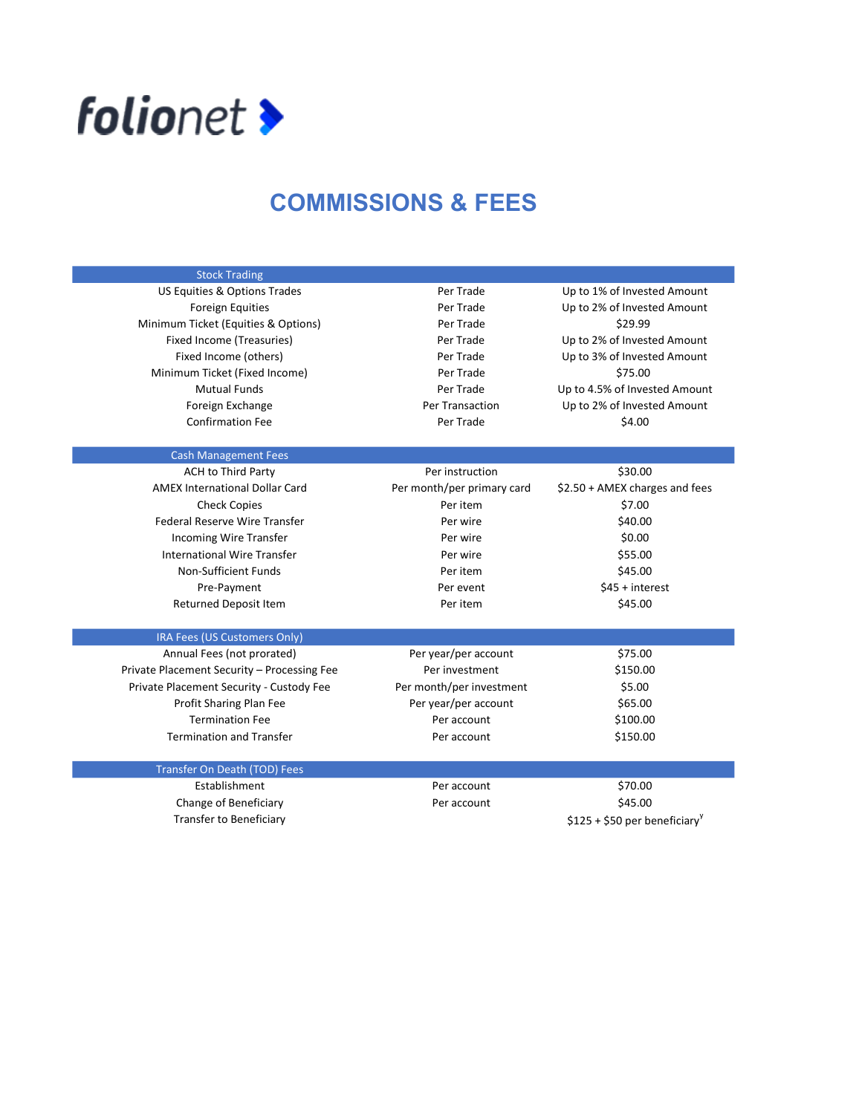

## COMMISSIONS & FEES

| <b>Stock Trading</b>                        |                            |                                           |
|---------------------------------------------|----------------------------|-------------------------------------------|
| US Equities & Options Trades                | Per Trade                  | Up to 1% of Invested Amount               |
| <b>Foreign Equities</b>                     | Per Trade                  | Up to 2% of Invested Amount               |
| Minimum Ticket (Equities & Options)         | Per Trade                  | \$29.99                                   |
| Fixed Income (Treasuries)                   | Per Trade                  | Up to 2% of Invested Amount               |
| Fixed Income (others)                       | Per Trade                  | Up to 3% of Invested Amount               |
| Minimum Ticket (Fixed Income)               | Per Trade                  | \$75.00                                   |
| <b>Mutual Funds</b>                         | Per Trade                  | Up to 4.5% of Invested Amount             |
| Foreign Exchange                            | Per Transaction            | Up to 2% of Invested Amount               |
| <b>Confirmation Fee</b>                     | Per Trade                  | \$4.00                                    |
| <b>Cash Management Fees</b>                 |                            |                                           |
| <b>ACH to Third Party</b>                   | Per instruction            | \$30.00                                   |
| <b>AMEX International Dollar Card</b>       | Per month/per primary card | \$2.50 + AMEX charges and fees            |
| <b>Check Copies</b>                         | Per item                   | \$7.00                                    |
| <b>Federal Reserve Wire Transfer</b>        | Per wire                   | \$40.00                                   |
| Incoming Wire Transfer                      | Per wire                   | \$0.00                                    |
| International Wire Transfer                 | Per wire                   | \$55.00                                   |
| Non-Sufficient Funds                        | Per item                   | \$45.00                                   |
| Pre-Payment                                 | Per event                  | $$45 + interest$                          |
| Returned Deposit Item                       | Per item                   | \$45.00                                   |
| IRA Fees (US Customers Only)                |                            |                                           |
| Annual Fees (not prorated)                  | Per year/per account       | \$75.00                                   |
| Private Placement Security - Processing Fee | Per investment             | \$150.00                                  |
| Private Placement Security - Custody Fee    | Per month/per investment   | \$5.00                                    |
| Profit Sharing Plan Fee                     | Per year/per account       | \$65.00                                   |
| <b>Termination Fee</b>                      | Per account                | \$100.00                                  |
| <b>Termination and Transfer</b>             | Per account                | \$150.00                                  |
| Transfer On Death (TOD) Fees                |                            |                                           |
| Establishment                               | Per account                | \$70.00                                   |
| Change of Beneficiary                       | Per account                | \$45.00                                   |
| <b>Transfer to Beneficiary</b>              |                            | \$125 + \$50 per beneficiary <sup>y</sup> |
|                                             |                            |                                           |